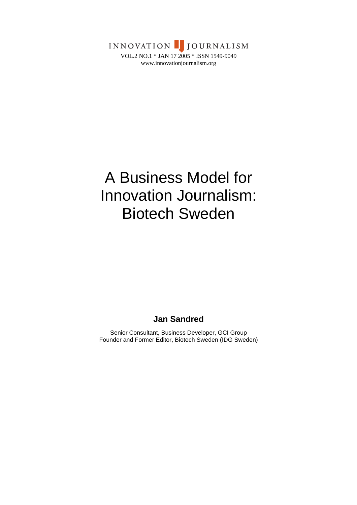INNOVATION JOURNALISM VOL.2 NO.1 \* JAN 17 2005 \* ISSN 1549-9049 www.innovationjournalism.org

# A Business Model for Innovation Journalism: Biotech Sweden

# **Jan Sandred**

Senior Consultant, Business Developer, GCI Group Founder and Former Editor, Biotech Sweden (IDG Sweden)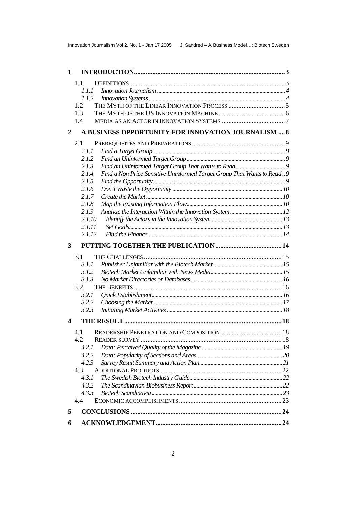| $\mathbf{1}$ |                                                                                 |  |
|--------------|---------------------------------------------------------------------------------|--|
|              | 1.1                                                                             |  |
|              | 1.1.1                                                                           |  |
|              | 1.1.2                                                                           |  |
|              | 1.2                                                                             |  |
|              | 1.3                                                                             |  |
|              | 1.4                                                                             |  |
| 2            | A BUSINESS OPPORTUNITY FOR INNOVATION JOURNALISM  8                             |  |
|              | 2.1                                                                             |  |
|              | 2.1.1                                                                           |  |
|              | 2.1.2                                                                           |  |
|              | 2.1.3                                                                           |  |
|              | Find a Non Price Sensitive Uninformed Target Group That Wants to Read9<br>2.1.4 |  |
|              | 2.1.5                                                                           |  |
|              | 2.1.6                                                                           |  |
|              | 2.1.7                                                                           |  |
|              | 2.1.8                                                                           |  |
|              | 2.1.9                                                                           |  |
|              | 2.1.10                                                                          |  |
|              | 2.1.11                                                                          |  |
|              | 2.1.12                                                                          |  |
| 3            |                                                                                 |  |
|              | 3.1                                                                             |  |
|              | 3.1.1                                                                           |  |
|              | 3.1.2                                                                           |  |
|              | 3.1.3                                                                           |  |
|              | 3.2                                                                             |  |
|              | 3.2.1                                                                           |  |
|              | 3.2.2                                                                           |  |
|              | 3.2.3                                                                           |  |
| 4            |                                                                                 |  |
|              | 4.1                                                                             |  |
|              | 4.2                                                                             |  |
|              | 4.2.1                                                                           |  |
|              | 4.2.2                                                                           |  |
|              | 4.2.3                                                                           |  |
|              | 4.3                                                                             |  |
|              | 4.3.1                                                                           |  |
|              | 4.3.2                                                                           |  |
|              | 4.3.3                                                                           |  |
|              | 4.4                                                                             |  |
| 5            |                                                                                 |  |
| 6            |                                                                                 |  |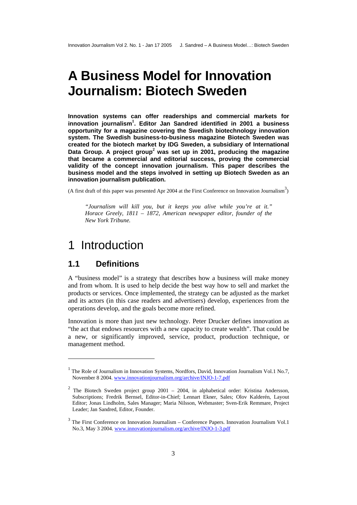# <span id="page-2-0"></span>**A Business Model for Innovation Journalism: Biotech Sweden**

**Innovation systems can offer readerships and commercial markets for innovation journalism<sup>1</sup> [.](#page-2-1) Editor Jan Sandred identified in 2001 a business opportunity for a magazine covering the Swedish biotechnology innovation system. The Swedish business-to-business magazine Biotech Sweden was created for the biotech market by IDG Sweden, a subsidiary of International Data Group. A project group<sup>2</sup> was set up in 2001, producing the magazine that became a commercial [an](#page-2-2)d editorial success, proving the commercial validity of the concept innovation journalism. This paper describes the business model and the steps involved in setting up Biotech Sweden as an innovation journalism publication.** 

(A first draft of this paper was presented Apr 2004 at the First Conference on Innovation Journalism<sup>3</sup>)

*"Journalism will kill you, but it keeps you alive while you're at it." Horace Greely, 1811 – 1872, American newspaper editor, founder of the New York Tribune.* 

# 1 Introduction

## **1.1 Definitions**

l

A "business model" is a strategy that describes how a business will make money and from whom. It is used to help decide the best way how to sell and market the products or services. Once implemented, the strategy can be adjusted as the market and its actors (in this case readers and advertisers) develop, experiences from the operations develop, and the goals become more refined.

Innovation is more than just new technology. Peter Drucker defines innovation as "the act that endows resources with a new capacity to create wealth". That could be a new, or significantly improved, service, product, production technique, or management method.

<span id="page-2-1"></span><sup>&</sup>lt;sup>1</sup> The Role of Journalism in Innovation Systems, Nordfors, David, Innovation Journalism Vol.1 No.7, November 8 2004. www.innovationjournalism.org/archive/INJO-1-7.pdf

<span id="page-2-2"></span><sup>&</sup>lt;sup>2</sup> The Biotech Sweden project group 2001 – 2004, in alphabetical order: Kristina Andersson, Subscriptions; Fredrik Bernsel, Editor-in-Chief; Lennart Ekner, Sales; Olov Kalderén, Layout Editor; Jonas Lindholm, Sales Manager; Maria Nilsson, Webmaster; Sven-Erik Remmare, Project Leader; Jan Sandred, Editor, Founder.

<span id="page-2-3"></span><sup>&</sup>lt;sup>3</sup> The First Conference on Innovation Journalism – Conference Papers. Innovation Journalism Vol.1 No.3, May 3 2004. www.innovationjournalism.org/archive/INJO-1-3.pdf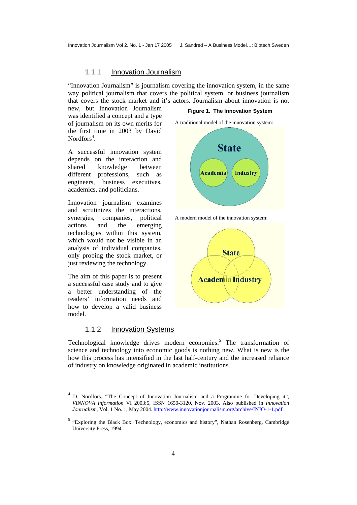#### 1.1.1 Innovation Journalism

<span id="page-3-0"></span>"Innovation Journalism" is journalism covering the innovation system, in the same way political journalism that covers the political system, or business journalism that covers the stock market and it's actors. Journalism about innovation is not

new, but Innovation Journalism was identified a concept and a type of journalism on its own merits for the first time in 2003 by David Nordfors<sup>[4](#page-3-1)</sup>.

A successful innovation system depends on the interaction and shared knowledge between different professions, such as engineers, business executives, academics, and politicians.

Innovation journalism examines and scrutinizes the interactions, synergies, companies, political actions and the emerging technologies within this system, which would not be visible in an analysis of individual companies, only probing the stock market, or just reviewing the technology.

The aim of this paper is to present a successful case study and to give a better understanding of the readers' information needs and how to develop a valid business model.

 $\overline{a}$ 

#### 1.1.2 Innovation Systems

#### **Figure 1. The Innovation System**

A traditional model of the innovation system:



A modern model of the innovation system:



Technological knowledge drives modern economies.<sup>[5](#page-3-2)</sup> The transformation of science and technology into economic goods is nothing new. What is new is the how this process has intensified in the last half-century and the increased reliance of industry on knowledge originated in academic institutions.

<span id="page-3-1"></span><sup>4</sup> D. Nordfors. "The Concept of Innovation Journalism and a Programme for Developing it", *VINNOVA Information* VI 2003:5, ISSN 1650-3120, Nov. 2003. Also published in *Innovation Journalism*, Vol. 1 No. 1, May 2004. [http://www.innovationjournalism.org/archive/INJO-1-1.pdf](http://www.innovationjournalism.org/archive/INJO-1-3.pdf)

<span id="page-3-2"></span><sup>&</sup>lt;sup>5</sup> "Exploring the Black Box: Technology, economics and history", Nathan Rosenberg, Cambridge University Press, 1994.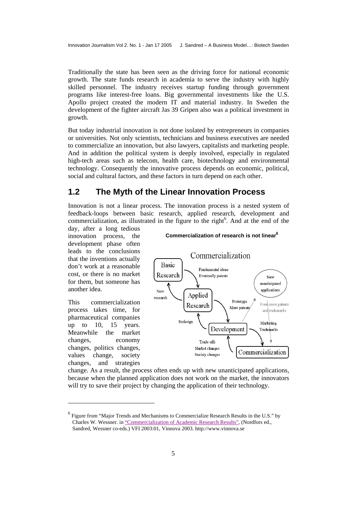<span id="page-4-0"></span>Traditionally the state has been seen as the driving force for national economic growth. The state funds research in academia to serve the industry with highly skilled personnel. The industry receives startup funding through government programs like interest-free loans. Big governmental investments like the U.S. Apollo project created the modern IT and material industry. In Sweden the development of the fighter aircraft Jas 39 Gripen also was a political investment in growth.

But today industrial innovation is not done isolated by entrepreneurs in companies or universities. Not only scientists, technicians and business executives are needed to commercialize an innovation, but also lawyers, capitalists and marketing people. And in addition the political system is deeply involved, especially in regulated high-tech areas such as telecom, health care, biotechnology and environmental technology. Consequently the innovative process depends on economic, political, social and cultural factors, and these factors in turn depend on each other.

## **1.2 The Myth of the Linear Innovation Process**

Innovation is not a linear process. The innovation process is a nested system of feedback-loops between basic research, applied research, development and commercialization, as illustrated in the figure to the right<sup>[6](#page-4-1)</sup>. And at the end of the

day, after a long tedious innovation process, the development phase often leads to the conclusions that the inventions actually don't work at a reasonable cost, or there is no market for them, but someone has another idea.

This commercialization process takes time, for pharmaceutical companies up to  $10$ ,  $15$  years. Meanwhile the market changes, economy changes, politics changes, values change, society changes, and strategies

l

# **Commercialization of research is not linear 6**



change. As a result, the process often ends up with new unanticipated applications, because when the planned application does not work on the market, the innovators will try to save their project by changing the application of their technology.

<span id="page-4-1"></span>Charles W. Wessner. in "Commercialization of Academic Research Results", (Nordfors ed.,  $<sup>6</sup>$  Figure from "Major Trends and Mechanisms to Commercialize Research Results in the U.S." by</sup> Sandred, Wessner co-eds.) VFI 2003:01, Vinnova 2003. http://www.vinnova.se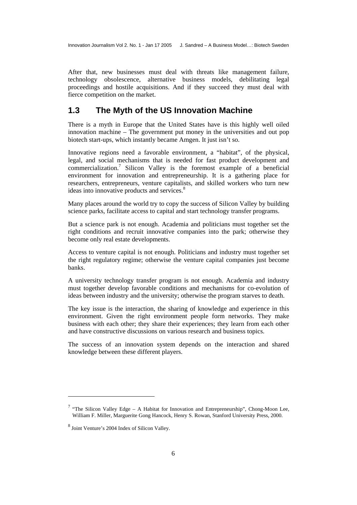<span id="page-5-0"></span>After that, new businesses must deal with threats like management failure, technology obsolescence, alternative business models, debilitating legal proceedings and hostile acquisitions. And if they succeed they must deal with fierce competition on the market.

## **1.3 The Myth of the US Innovation Machine**

There is a myth in Europe that the United States have is this highly well oiled innovation machine – The government put money in the universities and out pop biotech start-ups, which instantly became Amgen. It just isn't so.

Innovative regions need a favorable environment, a "habitat", of the physical, legal, and social mechanisms that is needed for fast product development and commercialization[.7](#page-5-1) Silicon Valley is the foremost example of a beneficial environment for innovation and entrepreneurship. It is a gathering place for researchers, entrepreneurs, venture capitalists, and skilled workers who turn new ideas into innovative products and services.<sup>[8](#page-5-2)</sup>

Many places around the world try to copy the success of Silicon Valley by building science parks, facilitate access to capital and start technology transfer programs.

But a science park is not enough. Academia and politicians must together set the right conditions and recruit innovative companies into the park; otherwise they become only real estate developments.

Access to venture capital is not enough. Politicians and industry must together set the right regulatory regime; otherwise the venture capital companies just become banks.

A university technology transfer program is not enough. Academia and industry must together develop favorable conditions and mechanisms for co-evolution of ideas between industry and the university; otherwise the program starves to death.

The key issue is the interaction, the sharing of knowledge and experience in this environment. Given the right environment people form networks. They make business with each other; they share their experiences; they learn from each other and have constructive discussions on various research and business topics.

The success of an innovation system depends on the interaction and shared knowledge between these different players.

<span id="page-5-1"></span><sup>&</sup>lt;sup>7</sup> "The Silicon Valley Edge – A Habitat for Innovation and Entrepreneurship", Chong-Moon Lee, William F. Miller, Marguerite Gong Hancock, Henry S. Rowan, Stanford University Press, 2000.

<span id="page-5-2"></span><sup>8</sup> Joint Venture's 2004 Index of Silicon Valley.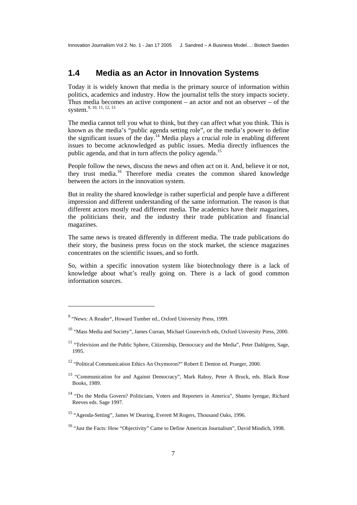# <span id="page-6-0"></span>**1.4 Media as an Actor in Innovation Systems**

Today it is widely known that media is the primary source of information within politics, academics and industry. How the journalist tells the story impacts society. Thus media becomes an active component – an actor and not an observer – of the system. [9,](#page-6-1) [10,](#page-6-2) [11,](#page-6-3) [12,](#page-6-4) [13](#page-6-5) 

The media cannot tell you what to think, but they can affect what you think. This is known as the media's "public agenda setting role", or the media's power to define the significant issues of the day.<sup>14</sup> Media plays a crucial role in enabling different issues to become acknowledged as public issues. Media directly influences the public agenda, and that in turn affects the policy agenda.<sup>15</sup>

People follow the news, discuss the news and often act on it. And, believe it or not, they trust media.[16](#page-6-8) Therefore media creates the common shared knowledge between the actors in the innovation system.

But in reality the shared knowledge is rather superficial and people have a different impression and different understanding of the same information. The reason is that different actors mostly read different media. The academics have their magazines, the politicians their, and the industry their trade publication and financial magazines.

The same news is treated differently in different media. The trade publications do their story, the business press focus on the stock market, the science magazines concentrates on the scientific issues, and so forth.

So, within a specific innovation system like biotechnology there is a lack of knowledge about what's really going on. There is a lack of good common information sources.

<span id="page-6-1"></span><sup>&</sup>lt;sup>9</sup> "News: A Reader", Howard Tumber ed., Oxford University Press, 1999.

<span id="page-6-2"></span><sup>&</sup>lt;sup>10</sup> "Mass Media and Society", James Curran, Michael Gourevitch eds, Oxford University Press, 2000.

<span id="page-6-3"></span><sup>&</sup>lt;sup>11</sup> "Television and the Public Sphere, Citizenship, Democracy and the Media", Peter Dahlgren, Sage, 1995.

<span id="page-6-4"></span><sup>12 &</sup>quot;Political Communication Ethics An Oxymoron?" Robert E Denton ed. Praeger, 2000.

<span id="page-6-5"></span><sup>&</sup>lt;sup>13</sup> "Communication for and Against Democracy", Mark Raboy, Peter A Bruck, eds. Black Rose Books, 1989.

<span id="page-6-6"></span><sup>&</sup>lt;sup>14</sup> "Do the Media Govern? Politicians, Voters and Reporters in America", Shanto Iyengar, Richard Reeves eds. Sage 1997.

<span id="page-6-7"></span><sup>15 &</sup>quot;Agenda-Setting", James W Dearing, Everett M Rogers, Thousand Oaks, 1996.

<span id="page-6-8"></span><sup>&</sup>lt;sup>16</sup> "Just the Facts: How "Objectivity" Came to Define American Journalism", David Mindich, 1998.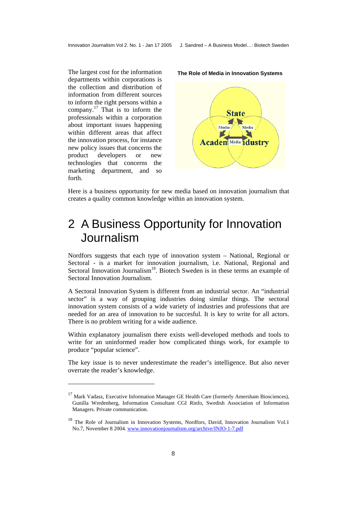<span id="page-7-0"></span>The largest cost for the information **The Role of Media in Innovation Systems**  departments within corporations is the collection and distribution of information from different sources to inform the right persons within a company.<sup>17</sup> That is to inform the professionals within a corporation about important issues happening within different areas that affect the innovation process, for instance new policy issues that concerns the product developers or new technologies that concerns the marketing department, and so forth.

 $\overline{a}$ 





Here is a business opportunity for new media based on innovation journalism that creates a quality common knowledge within an innovation system.

# 2 A Business Opportunity for Innovation Journalism

Nordfors suggests that each type of innovation system – National, Regional or Sectoral - is a market for innovation journalism, i.e. National, Regional and Sectoral Innovation Journalism<sup>18</sup>. Biotech Sweden is in these terms an example of Sectoral Innovation Journalism.

A Sectoral Innovation System is different from an industrial sector. An "industrial sector" is a way of grouping industries doing similar things. The sectoral innovation system consists of a wide variety of industries and professions that are needed for an area of innovation to be succesful. It is key to write for all actors. There is no problem writing for a wide audience.

Within explanatory journalism there exists well-developed methods and tools to write for an uninformed reader how complicated things work, for example to produce "popular science".

The key issue is to never underestimate the reader's intelligence. But also never overrate the reader's knowledge.

<span id="page-7-1"></span><sup>&</sup>lt;sup>17</sup> Mark Vadasz, Executive Information Manager GE Health Care (formerly Amersham Biosciences), Gunilla Wredenberg, Information Consultant CGI Rinfo, Swedish Association of Information Managers. Private communication.

<span id="page-7-2"></span><sup>&</sup>lt;sup>18</sup> The Role of Journalism in Innovation Systems, Nordfors, David, Innovation Journalism Vol.1 No.7, November 8 2004. www.innovationjournalism.org/archive/INJO-1-7.pdf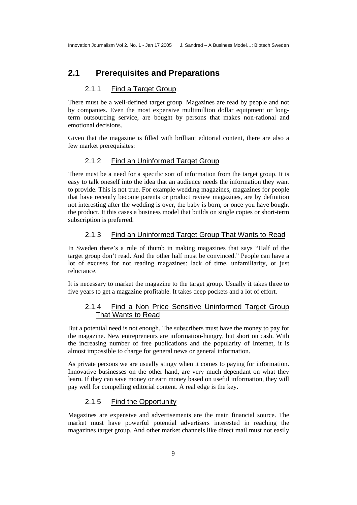## <span id="page-8-0"></span>**2.1 Prerequisites and Preparations**

#### 2.1.1 Find a Target Group

There must be a well-defined target group. Magazines are read by people and not by companies. Even the most expensive multimillion dollar equipment or longterm outsourcing service, are bought by persons that makes non-rational and emotional decisions.

Given that the magazine is filled with brilliant editorial content, there are also a few market prerequisites:

#### 2.1.2 Find an Uninformed Target Group

There must be a need for a specific sort of information from the target group. It is easy to talk oneself into the idea that an audience needs the information they want to provide. This is not true. For example wedding magazines, magazines for people that have recently become parents or product review magazines, are by definition not interesting after the wedding is over, the baby is born, or once you have bought the product. It this cases a business model that builds on single copies or short-term subscription is preferred.

#### 2.1.3 Find an Uninformed Target Group That Wants to Read

In Sweden there's a rule of thumb in making magazines that says "Half of the target group don't read. And the other half must be convinced." People can have a lot of excuses for not reading magazines: lack of time, unfamiliarity, or just reluctance.

It is necessary to market the magazine to the target group. Usually it takes three to five years to get a magazine profitable. It takes deep pockets and a lot of effort.

#### 2.1.4 Find a Non Price Sensitive Uninformed Target Group That Wants to Read

But a potential need is not enough. The subscribers must have the money to pay for the magazine. New entrepreneurs are information-hungry, but short on cash. With the increasing number of free publications and the popularity of Internet, it is almost impossible to charge for general news or general information.

As private persons we are usually stingy when it comes to paying for information. Innovative businesses on the other hand, are very much dependant on what they learn. If they can save money or earn money based on useful information, they will pay well for compelling editorial content. A real edge is the key.

#### 2.1.5 Find the Opportunity

Magazines are expensive and advertisements are the main financial source. The market must have powerful potential advertisers interested in reaching the magazines target group. And other market channels like direct mail must not easily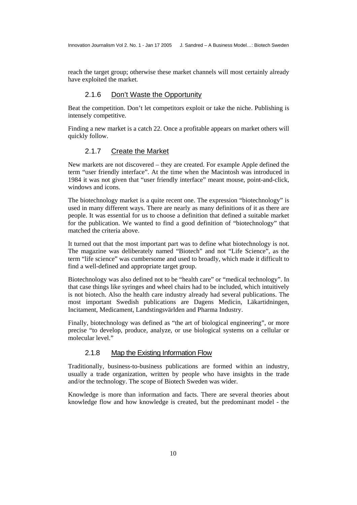<span id="page-9-0"></span>reach the target group; otherwise these market channels will most certainly already have exploited the market.

#### 2.1.6 Don't Waste the Opportunity

Beat the competition. Don't let competitors exploit or take the niche. Publishing is intensely competitive.

Finding a new market is a catch 22. Once a profitable appears on market others will quickly follow.

#### 2.1.7 Create the Market

New markets are not discovered – they are created. For example Apple defined the term "user friendly interface". At the time when the Macintosh was introduced in 1984 it was not given that "user friendly interface" meant mouse, point-and-click, windows and icons.

The biotechnology market is a quite recent one. The expression "biotechnology" is used in many different ways. There are nearly as many definitions of it as there are people. It was essential for us to choose a definition that defined a suitable market for the publication. We wanted to find a good definition of "biotechnology" that matched the criteria above.

It turned out that the most important part was to define what biotechnology is not. The magazine was deliberately named "Biotech" and not "Life Science", as the term "life science" was cumbersome and used to broadly, which made it difficult to find a well-defined and appropriate target group.

Biotechnology was also defined not to be "health care" or "medical technology". In that case things like syringes and wheel chairs had to be included, which intuitively is not biotech. Also the health care industry already had several publications. The most important Swedish publications are Dagens Medicin, Läkartidningen, Incitament, Medicament, Landstingsvärlden and Pharma Industry.

Finally, biotechnology was defined as "the art of biological engineering", or more precise "to develop, produce, analyze, or use biological systems on a cellular or molecular level."

#### 2.1.8 Map the Existing Information Flow

Traditionally, business-to-business publications are formed within an industry, usually a trade organization, written by people who have insights in the trade and/or the technology. The scope of Biotech Sweden was wider.

Knowledge is more than information and facts. There are several theories about knowledge flow and how knowledge is created, but the predominant model - the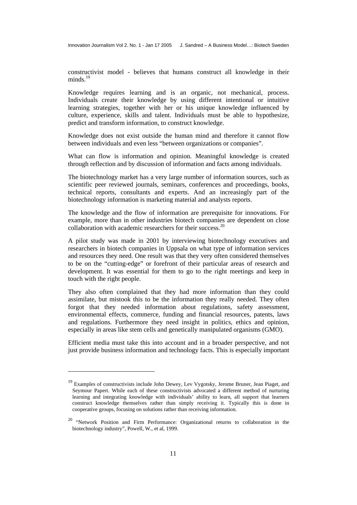constructivist model - believes that humans construct all knowledge in their minds. $^{19}$  $^{19}$  $^{19}$ 

Knowledge requires learning and is an organic, not mechanical, process. Individuals create their knowledge by using different intentional or intuitive learning strategies, together with her or his unique knowledge influenced by culture, experience, skills and talent. Individuals must be able to hypothesize, predict and transform information, to construct knowledge.

Knowledge does not exist outside the human mind and therefore it cannot flow between individuals and even less "between organizations or companies".

What can flow is information and opinion. Meaningful knowledge is created through reflection and by discussion of information and facts among individuals.

The biotechnology market has a very large number of information sources, such as scientific peer reviewed journals, seminars, conferences and proceedings, books, technical reports, consultants and experts. And an increasingly part of the biotechnology information is marketing material and analysts reports.

The knowledge and the flow of information are prerequisite for innovations. For example, more than in other industries biotech companies are dependent on close collaboration with academic researchers for their success.<sup>[20](#page-10-1)</sup>

A pilot study was made in 2001 by interviewing biotechnology executives and researchers in biotech companies in Uppsala on what type of information services and resources they need. One result was that they very often considered themselves to be on the "cutting-edge" or forefront of their particular areas of research and development. It was essential for them to go to the right meetings and keep in touch with the right people.

They also often complained that they had more information than they could assimilate, but mistook this to be the information they really needed. They often forgot that they needed information about regulations, safety assessment, environmental effects, commerce, funding and financial resources, patents, laws and regulations. Furthermore they need insight in politics, ethics and opinion, especially in areas like stem cells and genetically manipulated organisms (GMO).

Efficient media must take this into account and in a broader perspective, and not just provide business information and technology facts. This is especially important

<span id="page-10-0"></span><sup>&</sup>lt;sup>19</sup> Examples of constructivists include John Dewey, Lev Vygotsky, Jerome Bruner, Jean Piaget, and Seymour Papert. While each of these constructivists advocated a different method of nurturing learning and integrating knowledge with individuals' ability to learn, all support that learners construct knowledge themselves rather than simply receiving it. Typically this is done in cooperative groups, focusing on solutions rather than receiving information.

<span id="page-10-1"></span><sup>20 &</sup>quot;Network Position and Firm Performance: Organizational returns to collaboration in the biotechnology industry", Powell, W., et al, 1999.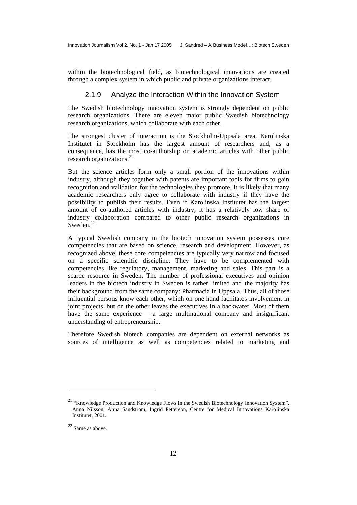<span id="page-11-0"></span>within the biotechnological field, as biotechnological innovations are created through a complex system in which public and private organizations interact.

#### 2.1.9 Analyze the Interaction Within the Innovation System

The Swedish biotechnology innovation system is strongly dependent on public research organizations. There are eleven major public Swedish biotechnology research organizations, which collaborate with each other.

The strongest cluster of interaction is the Stockholm-Uppsala area. Karolinska Institutet in Stockholm has the largest amount of researchers and, as a consequence, has the most co-authorship on academic articles with other public research organizations.<sup>[21](#page-11-1)</sup>

But the science articles form only a small portion of the innovations within industry, although they together with patents are important tools for firms to gain recognition and validation for the technologies they promote. It is likely that many academic researchers only agree to collaborate with industry if they have the possibility to publish their results. Even if Karolinska Institutet has the largest amount of co-authored articles with industry, it has a relatively low share of industry collaboration compared to other public research organizations in Sweden.<sup>22</sup>

A typical Swedish company in the biotech innovation system possesses core competencies that are based on science, research and development. However, as recognized above, these core competencies are typically very narrow and focused on a specific scientific discipline. They have to be complemented with competencies like regulatory, management, marketing and sales. This part is a scarce resource in Sweden. The number of professional executives and opinion leaders in the biotech industry in Sweden is rather limited and the majority has their background from the same company: Pharmacia in Uppsala. Thus, all of those influential persons know each other, which on one hand facilitates involvement in joint projects, but on the other leaves the executives in a backwater. Most of them have the same experience – a large multinational company and insignificant understanding of entrepreneurship.

Therefore Swedish biotech companies are dependent on external networks as sources of intelligence as well as competencies related to marketing and

<span id="page-11-1"></span><sup>&</sup>lt;sup>21</sup> "Knowledge Production and Knowledge Flows in the Swedish Biotechnology Innovation System", Anna Nilsson, Anna Sandström, Ingrid Petterson, Centre for Medical Innovations Karolinska Institutet, 2001.

<span id="page-11-2"></span><sup>22</sup> Same as above.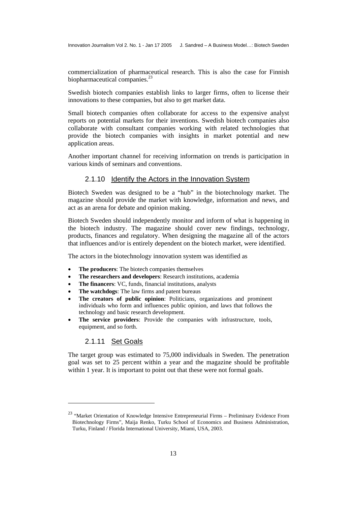<span id="page-12-0"></span>commercialization of pharmaceutical research. This is also the case for Finnish biopharmaceutical companies.<sup>[23](#page-12-1)</sup>

Swedish biotech companies establish links to larger firms, often to license their innovations to these companies, but also to get market data.

Small biotech companies often collaborate for access to the expensive analyst reports on potential markets for their inventions. Swedish biotech companies also collaborate with consultant companies working with related technologies that provide the biotech companies with insights in market potential and new application areas.

Another important channel for receiving information on trends is participation in various kinds of seminars and conventions.

#### 2.1.10 Identify the Actors in the Innovation System

Biotech Sweden was designed to be a "hub" in the biotechnology market. The magazine should provide the market with knowledge, information and news, and act as an arena for debate and opinion making.

Biotech Sweden should independently monitor and inform of what is happening in the biotech industry. The magazine should cover new findings, technology, products, finances and regulatory. When designing the magazine all of the actors that influences and/or is entirely dependent on the biotech market, were identified.

The actors in the biotechnology innovation system was identified as

- **The producers:** The biotech companies themselves
- **The researchers and developers**: Research institutions, academia
- **The financers**: VC, funds, financial institutions, analysts
- **The watchdogs:** The law firms and patent bureaus
- The creators of public opinion: Politicians, organizations and prominent individuals who form and influences public opinion, and laws that follows the technology and basic research development.
- **The service providers**: Provide the companies with infrastructure, tools, equipment, and so forth.

#### 2.1.11 Set Goals

l

The target group was estimated to 75,000 individuals in Sweden. The penetration goal was set to 25 percent within a year and the magazine should be profitable within 1 year. It is important to point out that these were not formal goals.

<span id="page-12-1"></span><sup>&</sup>lt;sup>23</sup> "Market Orientation of Knowledge Intensive Entrepreneurial Firms – Preliminary Evidence From Biotechnology Firms", Maija Renko, Turku School of Economics and Business Administration, Turku, Finland / Florida International University, Miami, USA, 2003.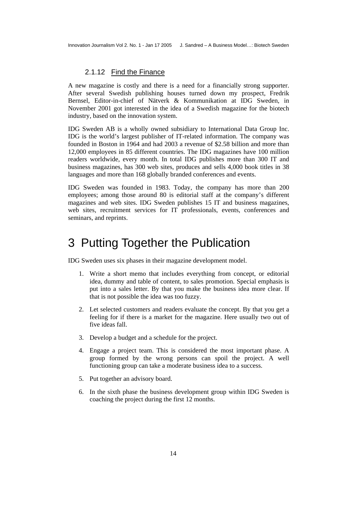#### 2.1.12 Find the Finance

<span id="page-13-0"></span>A new magazine is costly and there is a need for a financially strong supporter. After several Swedish publishing houses turned down my prospect, Fredrik Bernsel, Editor-in-chief of Nätverk & Kommunikation at IDG Sweden, in November 2001 got interested in the idea of a Swedish magazine for the biotech industry, based on the innovation system.

IDG Sweden AB is a wholly owned subsidiary to International Data Group Inc. IDG is the world's largest publisher of IT-related information. The company was founded in Boston in 1964 and had 2003 a revenue of \$2.58 billion and more than 12,000 employees in 85 different countries. The IDG magazines have 100 million readers worldwide, every month. In total IDG publishes more than 300 IT and business magazines, has 300 web sites, produces and sells 4,000 book titles in 38 languages and more than 168 globally branded conferences and events.

IDG Sweden was founded in 1983. Today, the company has more than 200 employees; among those around 80 is editorial staff at the company's different magazines and web sites. IDG Sweden publishes 15 IT and business magazines, web sites, recruitment services for IT professionals, events, conferences and seminars, and reprints.

# 3 Putting Together the Publication

IDG Sweden uses six phases in their magazine development model.

- 1. Write a short memo that includes everything from concept, or editorial idea, dummy and table of content, to sales promotion. Special emphasis is put into a sales letter. By that you make the business idea more clear. If that is not possible the idea was too fuzzy.
- 2. Let selected customers and readers evaluate the concept. By that you get a feeling for if there is a market for the magazine. Here usually two out of five ideas fall.
- 3. Develop a budget and a schedule for the project.
- 4. Engage a project team. This is considered the most important phase. A group formed by the wrong persons can spoil the project. A well functioning group can take a moderate business idea to a success.
- 5. Put together an advisory board.
- 6. In the sixth phase the business development group within IDG Sweden is coaching the project during the first 12 months.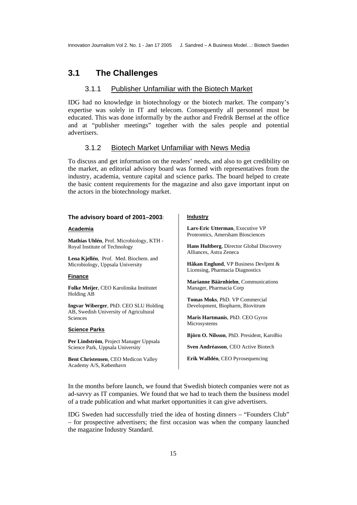## <span id="page-14-0"></span>**3.1 The Challenges**

#### 3.1.1 Publisher Unfamiliar with the Biotech Market

IDG had no knowledge in biotechnology or the biotech market. The company's expertise was solely in IT and telecom. Consequently all personnel must be educated. This was done informally by the author and Fredrik Bernsel at the office and at "publisher meetings" together with the sales people and potential advertisers.

#### 3.1.2 Biotech Market Unfamiliar with News Media

To discuss and get information on the readers' needs, and also to get credibility on the market, an editorial advisory board was formed with representatives from the industry, academia, venture capital and science parks. The board helped to create the basic content requirements for the magazine and also gave important input on the actors in the biotechnology market.

#### **The advisory board of 2001–2003**:

#### **Academia**

**Mathias Uhlén**, Prof. Microbiology, KTH - Royal Institute of Technology

**Lena Kjellén**, Prof. Med. Biochem. and Microbiology, Uppsala University

#### **Finance**

**Folke Meijer**, CEO Karolinska Institutet Holding AB

**Ingvar Wiberger**, PhD. CEO SLU Holding AB, Swedish University of Agricultural Sciences

#### **Science Parks**

**Per Lindström**, Project Manager Uppsala Science Park, Uppsala University

**Bent Christensen**, CEO Medicon Valley Academy A/S, København

#### **Industry**

**Lars-Eric Utterman**, Executive VP Proteomics, Amersham Biosciences

**Hans Hultberg**, Director Global Discovery Alliances, Astra Zeneca

**Håkan Englund**, VP Business Devlpmt & Licensing, Pharmacia Diagnostics

**Marianne Bäärnhielm**, Communications Manager, Pharmacia Corp

**Tomas Moks**, PhD. VP Commercial Development, Biopharm, Biovitrum

**Maris Hartmanis**, PhD. CEO Gyros Microsystems

**Björn O. Nilsson**, PhD. President, KaroBio

**Sven Andréasson**, CEO Active Biotech

**Erik Walldén**, CEO Pyrosequencing

In the months before launch, we found that Swedish biotech companies were not as ad-savvy as IT companies. We found that we had to teach them the business model of a trade publication and what market opportunities it can give advertisers.

IDG Sweden had successfully tried the idea of hosting dinners – "Founders Club" – for prospective advertisers; the first occasion was when the company launched the magazine Industry Standard.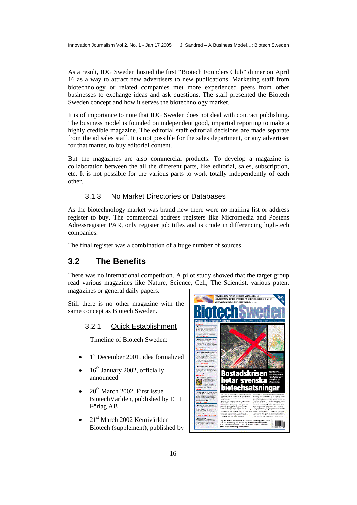<span id="page-15-0"></span>As a result, IDG Sweden hosted the first "Biotech Founders Club" dinner on April 16 as a way to attract new advertisers to new publications. Marketing staff from biotechnology or related companies met more experienced peers from other businesses to exchange ideas and ask questions. The staff presented the Biotech Sweden concept and how it serves the biotechnology market.

It is of importance to note that IDG Sweden does not deal with contract publishing. The business model is founded on independent good, impartial reporting to make a highly credible magazine. The editorial staff editorial decisions are made separate from the ad sales staff. It is not possible for the sales department, or any advertiser for that matter, to buy editorial content.

But the magazines are also commercial products. To develop a magazine is collaboration between the all the different parts, like editorial, sales, subscription, etc. It is not possible for the various parts to work totally independently of each other.

#### 3.1.3 No Market Directories or Databases

As the biotechnology market was brand new there were no mailing list or address register to buy. The commercial address registers like Micromedia and Postens Adressregister PAR, only register job titles and is crude in differencing high-tech companies.

The final register was a combination of a huge number of sources.

## **3.2 The Benefits**

There was no international competition. A pilot study showed that the target group read various magazines like Nature, Science, Cell, The Scientist, various patent magazines or general daily papers.

Still there is no other magazine with the same concept as Biotech Sweden.

#### 3.2.1 Quick Establishment

Timeline of Biotech Sweden:

- 1<sup>st</sup> December 2001, idea formalized
- $16<sup>th</sup>$  January 2002, officially announced
- $20<sup>th</sup>$  March 2002, First issue BiotechVärlden, published by E+T Förlag AB
- 21<sup>st</sup> March 2002 Kemivärlden Biotech (supplement), published by

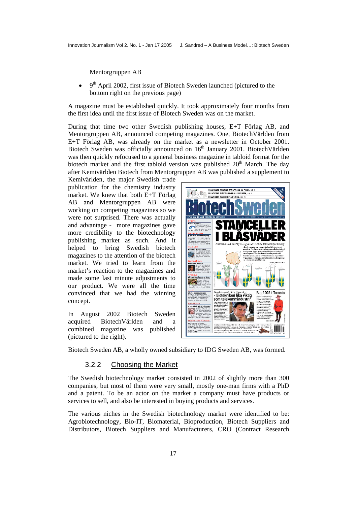<span id="page-16-0"></span>Mentorgruppen AB

 $9<sup>th</sup>$  April 2002, first issue of Biotech Sweden launched (pictured to the bottom right on the previous page)

A magazine must be established quickly. It took approximately four months from the first idea until the first issue of Biotech Sweden was on the market.

During that time two other Swedish publishing houses, E+T Förlag AB, and Mentorgruppen AB, announced competing magazines. One, BiotechVärlden from E+T Förlag AB, was already on the market as a newsletter in October 2001. Biotech Sweden was officially announced on  $16<sup>th</sup>$  January 2001. BiotechVärlden was then quickly refocused to a general business magazine in tabloid format for the biotech market and the first tabloid version was published  $20<sup>th</sup>$  March. The day after Kemivärlden Biotech from Mentorgruppen AB was published a supplement to

Kemivärlden, the major Swedish trade publication for the chemistry industry market. We knew that both E+T Förlag AB and Mentorgruppen AB were working on competing magazines so we were not surprised. There was actually and advantage - more magazines gave more credibility to the biotechnology publishing market as such. And it helped to bring Swedish biotech magazines to the attention of the biotech market. We tried to learn from the market's reaction to the magazines and made some last minute adjustments to our product. We were all the time convinced that we had the winning concept.

In August 2002 Biotech Sweden acquired BiotechVärlden and a combined magazine was published (pictured to the right).



Biotech Sweden AB, a wholly owned subsidiary to IDG Sweden AB, was formed.

#### 3.2.2 Choosing the Market

The Swedish biotechnology market consisted in 2002 of slightly more than 300 companies, but most of them were very small, mostly one-man firms with a PhD and a patent. To be an actor on the market a company must have products or services to sell, and also be interested in buying products and services.

The various niches in the Swedish biotechnology market were identified to be: Agrobiotechnology, Bio-IT, Biomaterial, Bioproduction, Biotech Suppliers and Distributors, Biotech Suppliers and Manufacturers, CRO (Contract Research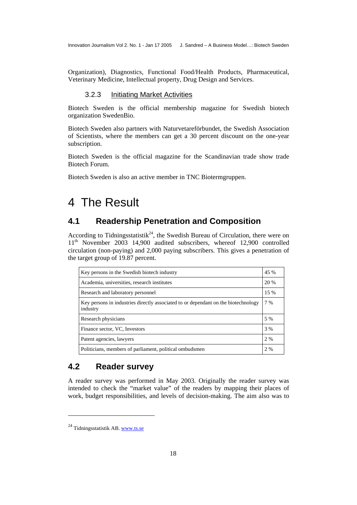<span id="page-17-0"></span>Organization), Diagnostics, Functional Food/Health Products, Pharmaceutical, Veterinary Medicine, Intellectual property, Drug Design and Services.

#### 3.2.3 Initiating Market Activities

Biotech Sweden is the official membership magazine for Swedish biotech organization SwedenBio.

Biotech Sweden also partners with Naturvetareförbundet, the Swedish Association of Scientists, where the members can get a 30 percent discount on the one-year subscription.

Biotech Sweden is the official magazine for the Scandinavian trade show trade Biotech Forum.

Biotech Sweden is also an active member in TNC Biotermgruppen.

# 4 The Result

# **4.1 Readership Penetration and Composition**

According to Tidningsstatistik<sup>24</sup>, the Swedish Bureau of Circulation, there were on 11<sup>th</sup> November 2003 14,900 audited subscribers, whereof 12,900 controlled circulation (non-paying) and 2,000 paying subscribers. This gives a penetration of the target group of 19.87 percent.

| Key persons in the Swedish biotech industry                                                    | 45 % |
|------------------------------------------------------------------------------------------------|------|
| Academia, universities, research institutes                                                    | 20 % |
| Research and laboratory personnel                                                              | 15 % |
| Key persons in industries directly associated to or dependant on the biotechnology<br>industry | 7%   |
| Research physicians                                                                            | 5 %  |
| Finance sector, VC, Investors                                                                  | 3 %  |
| Patent agencies, lawyers                                                                       | 2 %  |
| Politicians, members of parliament, political ombudsmen                                        | 2 %  |

# **4.2 Reader survey**

A reader survey was performed in May 2003. Originally the reader survey was intended to check the "market value" of the readers by mapping their places of work, budget responsibilities, and levels of decision-making. The aim also was to

<span id="page-17-1"></span> $24$  Tidningsstatistik AB.<www.ts.se>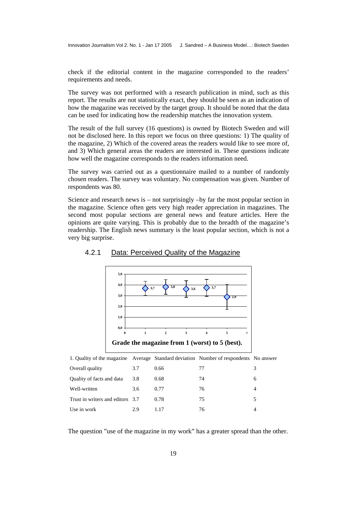<span id="page-18-0"></span>check if the editorial content in the magazine corresponded to the readers' requirements and needs.

The survey was not performed with a research publication in mind, such as this report. The results are not statistically exact, they should be seen as an indication of how the magazine was received by the target group. It should be noted that the data can be used for indicating how the readership matches the innovation system.

The result of the full survey (16 questions) is owned by Biotech Sweden and will not be disclosed here. In this report we focus on three questions: 1) The quality of the magazine, 2) Which of the covered areas the readers would like to see more of, and 3) Which general areas the readers are interested in. These questions indicate how well the magazine corresponds to the readers information need.

The survey was carried out as a questionnaire mailed to a number of randomly chosen readers. The survey was voluntary. No compensation was given. Number of respondents was 80.

Science and research news is – not surprisingly –by far the most popular section in the magazine. Science often gets very high reader appreciation in magazines. The second most popular sections are general news and feature articles. Here the opinions are quite varying. This is probably due to the breadth of the magazine's readership. The English news summary is the least popular section, which is not a very big surprise.



#### 4.2.1 Data: Perceived Quality of the Magazine

1. Quality of the magazine Average Standard deviation Number of respondents No answer

| Overall quality                  | 3.7 | 0.66  | 77 | 3 |
|----------------------------------|-----|-------|----|---|
| Quality of facts and data        | 3.8 | 0.68  | 74 | 6 |
| Well-written                     | 3.6 | 0.77  | 76 | 4 |
| Trust in writers and editors 3.7 |     | 0.78  | 75 |   |
| Use in work                      | 2.9 | 1 1 7 | 76 |   |

The question "use of the magazine in my work" has a greater spread than the other.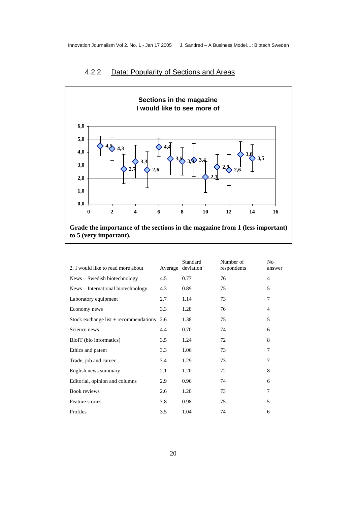

## <span id="page-19-0"></span>4.2.2 Data: Popularity of Sections and Areas

**Grade the importance of the sections in the magazine from 1 (less important) to 5 (very important).** 

| 2. I would like to read more about          | Average | Standard<br>deviation | Number of<br>respondents | No<br>answer   |
|---------------------------------------------|---------|-----------------------|--------------------------|----------------|
| News – Swedish biotechnology                | 4.5     | 0.77                  | 76                       | $\overline{4}$ |
| News - International biotechnology          | 4.3     | 0.89                  | 75                       | 5              |
| Laboratory equipment                        | 2.7     | 1.14                  | 73                       | 7              |
| Economy news                                | 3.3     | 1.28                  | 76                       | 4              |
| Stock exchange list $+$ recommendations 2.6 |         | 1.38                  | 75                       | 5              |
| Science news                                | 4.4     | 0.70                  | 74                       | 6              |
| BioIT (bio informatics)                     | 3.5     | 1.24                  | 72                       | 8              |
| Ethics and patent                           | 3.3     | 1.06                  | 73                       | 7              |
| Trade, job and career                       | 3.4     | 1.29                  | 73                       | 7              |
| English news summary                        | 2.1     | 1.20                  | 72                       | 8              |
| Editorial, opinion and columns              | 2.9     | 0.96                  | 74                       | 6              |
| Book reviews                                | 2.6     | 1.20                  | 73                       | 7              |
| Feature stories                             | 3.8     | 0.98                  | 75                       | 5              |
| Profiles                                    | 3.5     | 1.04                  | 74                       | 6              |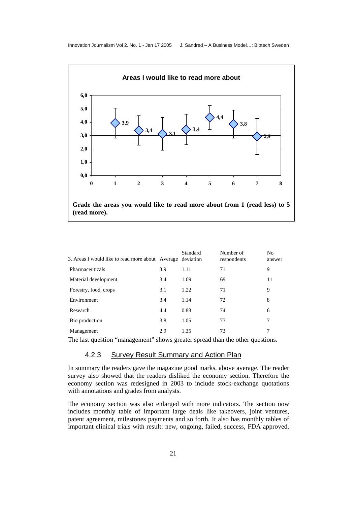<span id="page-20-0"></span>

| 3. Areas I would like to read more about Average deviation |     | Standard | Number of<br>respondents | N <sub>o</sub><br>answer |
|------------------------------------------------------------|-----|----------|--------------------------|--------------------------|
| Pharmaceuticals                                            | 3.9 | 1.11     | 71                       | 9                        |
| Material development                                       | 3.4 | 1.09     | 69                       | 11                       |
| Forestry, food, crops                                      | 3.1 | 1.22     | 71                       | 9                        |
| Environment                                                | 3.4 | 1.14     | 72                       | 8                        |
| Research                                                   | 4.4 | 0.88     | 74                       | 6                        |
| Bio production                                             | 3.8 | 1.05     | 73                       | 7                        |
| Management                                                 | 2.9 | 1.35     | 73                       | 7                        |
|                                                            |     |          |                          |                          |

The last question "management" shows greater spread than the other questions.

#### 4.2.3 Survey Result Summary and Action Plan

In summary the readers gave the magazine good marks, above average. The reader survey also showed that the readers disliked the economy section. Therefore the economy section was redesigned in 2003 to include stock-exchange quotations with annotations and grades from analysts.

The economy section was also enlarged with more indicators. The section now includes monthly table of important large deals like takeovers, joint ventures, patent agreement, milestones payments and so forth. It also has monthly tables of important clinical trials with result: new, ongoing, failed, success, FDA approved.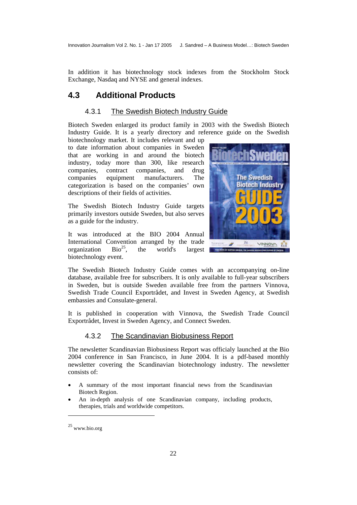<span id="page-21-0"></span>In addition it has biotechnology stock indexes from the Stockholm Stock Exchange, Nasdaq and NYSE and general indexes.

## **4.3 Additional Products**

#### 4.3.1 The Swedish Biotech Industry Guide

Biotech Sweden enlarged its product family in 2003 with the Swedish Biotech Industry Guide. It is a yearly directory and reference guide on the Swedish

biotechnology market. It includes relevant and up to date information about companies in Sweden that are working in and around the biotech industry, today more than 300, like research companies, contract companies, and drug companies equipment manufacturers. The categorization is based on the companies' own descriptions of their fields of activities.

The Swedish Biotech Industry Guide targets primarily investors outside Sweden, but also serves as a guide for the industry.

It was introduced at the BIO 2004 Annual International Convention arranged by the trade organization  $Bio^{25}$ , the world's largest organization  $Bio^{25}$  $Bio^{25}$ , the world's largest biotechnology event.



The Swedish Biotech Industry Guide comes with an accompanying on-line database, available free for subscribers. It is only available to full-year subscribers in Sweden, but is outside Sweden available free from the partners Vinnova, Swedish Trade Council Exportrådet, and Invest in Sweden Agency, at Swedish embassies and Consulate-general.

It is published in cooperation with Vinnova, the Swedish Trade Council Exportrådet, Invest in Sweden Agency, and Connect Sweden.

#### 4.3.2 The Scandinavian Biobusiness Report

The newsletter Scandinavian Biobusiness Report was officialy launched at the Bio 2004 conference in San Francisco, in June 2004. It is a pdf-based monthly newsletter covering the Scandinavian biotechnology industry. The newsletter consists of:

- A summary of the most important financial news from the Scandinavian Biotech Region.
- An in-depth analysis of one Scandinavian company, including products, therapies, trials and worldwide competitors.

<span id="page-21-1"></span><sup>25</sup> www.bio.org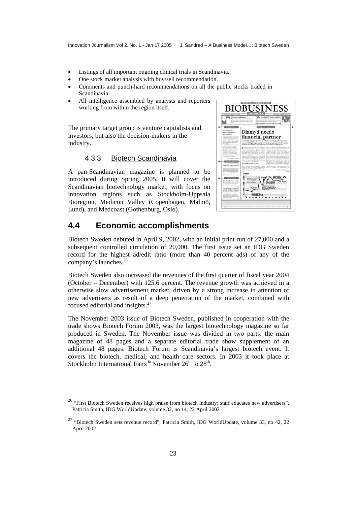- <span id="page-22-0"></span>• Listings of all important ongoing clinical trials in Scandinavia.
- One stock market analysis with buy/sell recommendation.
- Comments and punch-hard recommendations on all the public stocks traded in Scandinavia.
- All intelligence assembled by analysts and reporters working from within the region itself.

The primary target group is venture capitalists and investors, but also the decision-makers in the industry.

#### 4.3.3 Biotech Scandinavia

A pan-Scandinavian magazine is planned to be introduced during Spring 2005. It will cover the Scandinavian biotechnology market, with focus on innovation regions such as Stockholm-Uppsala Bioregion, Medicon Valley (Copenhagen, Malmö, Lund), and Medcoast (Gothenburg, Oslo).



### **4.4 Economic accomplishments**

l

Biotech Sweden debuted in April 9, 2002, with an initial print run of 27,000 and a subsequent controlled circulation of 20,000. The first issue set an IDG Sweden record for the highest ad/edit ratio (more than 40 percent ads) of any of the company's launches.<sup>[26](#page-22-1)</sup>

Biotech Sweden also increased the revenues of the first quarter of fiscal year 2004 (October – December) with 125.6 percent. The revenue growth was achieved in a otherwise slow advertisement market, driven by a strong increase in attention of new advertisers as result of a deep penetration of the market, combined with focused editorial and insights[.27](#page-22-2)

The November 2003 issue of Biotech Sweden, published in cooperation with the trade shows Biotech Forum 2003, was the largest biotechnology magazine so far produced in Sweden. The November issue was divided in two parts: the main magazine of 48 pages and a separate editorial trade show supplement of an additional 48 pages. Biotech Forum is Scandinavia's largest biotech event. It covers the biotech, medical, and health care sectors. In 2003 it took place at Stockholm International Fairs  $\mathrm{^{in}}$  November 26<sup>th</sup> to 28<sup>th</sup>.

<span id="page-22-1"></span><sup>&</sup>lt;sup>26</sup> "First Biotech Sweden receives high praise from biotech industry; staff educates new advertisers", Patricia Smith, IDG WorldUpdate, volume 32, no 14, 22 April 2002

<span id="page-22-2"></span><sup>&</sup>lt;sup>27</sup> "Biotech Sweden sets revenue record", Patricia Smith, IDG WorldUpdate, volume 33, no 42, 22 April 2002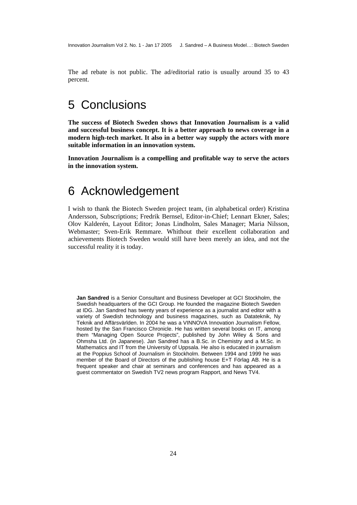<span id="page-23-0"></span>The ad rebate is not public. The ad/editorial ratio is usually around 35 to 43 percent.

# 5 Conclusions

**The success of Biotech Sweden shows that Innovation Journalism is a valid and successful business concept. It is a better approach to news coverage in a modern high-tech market. It also in a better way supply the actors with more suitable information in an innovation system.** 

**Innovation Journalism is a compelling and profitable way to serve the actors in the innovation system.**

# 6 Acknowledgement

I wish to thank the Biotech Sweden project team, (in alphabetical order) Kristina Andersson, Subscriptions; Fredrik Bernsel, Editor-in-Chief; Lennart Ekner, Sales; Olov Kalderén, Layout Editor; Jonas Lindholm, Sales Manager; Maria Nilsson, Webmaster; Sven-Erik Remmare. Whithout their excellent collaboration and achievements Biotech Sweden would still have been merely an idea, and not the successful reality it is today.

**Jan Sandred** is a Senior Consultant and Business Developer at GCI Stockholm, the Swedish headquarters of the GCI Group. He founded the magazine Biotech Sweden at IDG. Jan Sandred has twenty years of experience as a journalist and editor with a variety of Swedish technology and business magazines, such as Datateknik, Ny Teknik and Affärsvärlden. In 2004 he was a VINNOVA Innovation Journalism Fellow, hosted by the San Francisco Chronicle. He has written several books on IT, among them "Managing Open Source Projects", published by John Wiley & Sons and Ohmsha Ltd. (in Japanese). Jan Sandred has a B.Sc. in Chemistry and a M.Sc. in Mathematics and IT from the University of Uppsala. He also is educated in journalism at the Poppius School of Journalism in Stockholm. Between 1994 and 1999 he was member of the Board of Directors of the publishing house E+T Förlag AB. He is a frequent speaker and chair at seminars and conferences and has appeared as a guest commentator on Swedish TV2 news program Rapport, and News TV4.